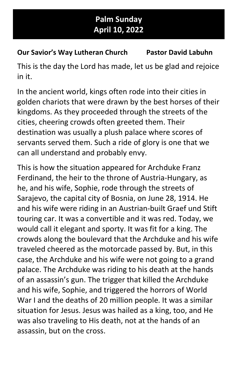## Palm Sunday April 10, 2022

## Our Savior's Way Lutheran Church Pastor David Labuhn

This is the day the Lord has made, let us be glad and rejoice in it.

In the ancient world, kings often rode into their cities in golden chariots that were drawn by the best horses of their kingdoms. As they proceeded through the streets of the cities, cheering crowds often greeted them. Their destination was usually a plush palace where scores of servants served them. Such a ride of glory is one that we can all understand and probably envy.

This is how the situation appeared for Archduke Franz Ferdinand, the heir to the throne of Austria-Hungary, as he, and his wife, Sophie, rode through the streets of Sarajevo, the capital city of Bosnia, on June 28, 1914. He and his wife were riding in an Austrian-built Graef und Stift touring car. It was a convertible and it was red. Today, we would call it elegant and sporty. It was fit for a king. The crowds along the boulevard that the Archduke and his wife traveled cheered as the motorcade passed by. But, in this case, the Archduke and his wife were not going to a grand palace. The Archduke was riding to his death at the hands of an assassin's gun. The trigger that killed the Archduke and his wife, Sophie, and triggered the horrors of World War I and the deaths of 20 million people. It was a similar situation for Jesus. Jesus was hailed as a king, too, and He was also traveling to His death, not at the hands of an assassin, but on the cross.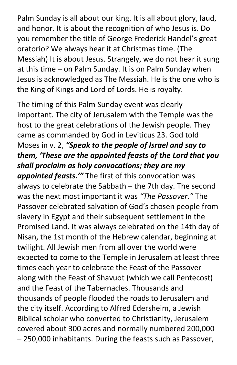Palm Sunday is all about our king. It is all about glory, laud, and honor. It is about the recognition of who Jesus is. Do you remember the title of George Frederick Handel's great oratorio? We always hear it at Christmas time. (The Messiah) It is about Jesus. Strangely, we do not hear it sung at this time – on Palm Sunday. It is on Palm Sunday when Jesus is acknowledged as The Messiah. He is the one who is the King of Kings and Lord of Lords. He is royalty.

The timing of this Palm Sunday event was clearly important. The city of Jerusalem with the Temple was the host to the great celebrations of the Jewish people. They came as commanded by God in Leviticus 23. God told Moses in v. 2, "Speak to the people of Israel and say to them, 'These are the appointed feasts of the Lord that you shall proclaim as holy convocations; they are my appointed feasts." The first of this convocation was always to celebrate the Sabbath – the 7th day. The second was the next most important it was "The Passover." The Passover celebrated salvation of God's chosen people from slavery in Egypt and their subsequent settlement in the Promised Land. It was always celebrated on the 14th day of Nisan, the 1st month of the Hebrew calendar, beginning at twilight. All Jewish men from all over the world were expected to come to the Temple in Jerusalem at least three times each year to celebrate the Feast of the Passover along with the Feast of Shavuot (which we call Pentecost) and the Feast of the Tabernacles. Thousands and thousands of people flooded the roads to Jerusalem and the city itself. According to Alfred Edersheim, a Jewish Biblical scholar who converted to Christianity, Jerusalem covered about 300 acres and normally numbered 200,000 – 250,000 inhabitants. During the feasts such as Passover,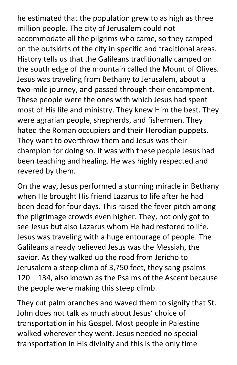he estimated that the population grew to as high as three million people. The city of Jerusalem could not accommodate all the pilgrims who came, so they camped on the outskirts of the city in specific and traditional areas. History tells us that the Galileans traditionally camped on the south edge of the mountain called the Mount of Olives. Jesus was traveling from Bethany to Jerusalem, about a two-mile journey, and passed through their encampment. These people were the ones with which Jesus had spent most of His life and ministry. They knew Him the best. They were agrarian people, shepherds, and fishermen. They hated the Roman occupiers and their Herodian puppets. They want to overthrow them and Jesus was their champion for doing so. It was with these people Jesus had been teaching and healing. He was highly respected and revered by them.

On the way, Jesus performed a stunning miracle in Bethany when He brought His friend Lazarus to life after he had been dead for four days. This raised the fever pitch among the pilgrimage crowds even higher. They, not only got to see Jesus but also Lazarus whom He had restored to life. Jesus was traveling with a huge entourage of people. The Galileans already believed Jesus was the Messiah, the savior. As they walked up the road from Jericho to Jerusalem a steep climb of 3,750 feet, they sang psalms 120 – 134, also known as the Psalms of the Ascent because the people were making this steep climb.

They cut palm branches and waved them to signify that St. John does not talk as much about Jesus' choice of transportation in his Gospel. Most people in Palestine walked wherever they went. Jesus needed no special transportation in His divinity and this is the only time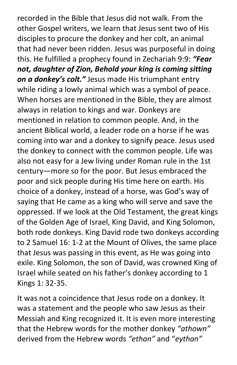recorded in the Bible that Jesus did not walk. From the other Gospel writers, we learn that Jesus sent two of His disciples to procure the donkey and her colt, an animal that had never been ridden. Jesus was purposeful in doing this. He fulfilled a prophecy found in Zechariah 9:9: "Fear not, daughter of Zion, Behold your king is coming sitting on a donkey's colt." Jesus made His triumphant entry while riding a lowly animal which was a symbol of peace. When horses are mentioned in the Bible, they are almost always in relation to kings and war. Donkeys are mentioned in relation to common people. And, in the ancient Biblical world, a leader rode on a horse if he was coming into war and a donkey to signify peace. Jesus used the donkey to connect with the common people. Life was also not easy for a Jew living under Roman rule in the 1st century—more so for the poor. But Jesus embraced the poor and sick people during His time here on earth. His choice of a donkey, instead of a horse, was God's way of saying that He came as a king who will serve and save the oppressed. If we look at the Old Testament, the great kings of the Golden Age of Israel, King David, and King Solomon, both rode donkeys. King David rode two donkeys according to 2 Samuel 16: 1-2 at the Mount of Olives, the same place that Jesus was passing in this event, as He was going into exile. King Solomon, the son of David, was crowned King of Israel while seated on his father's donkey according to 1 Kings 1: 32-35.

It was not a coincidence that Jesus rode on a donkey. It was a statement and the people who saw Jesus as their Messiah and King recognized it. It is even more interesting that the Hebrew words for the mother donkey "athown" derived from the Hebrew words "ethan" and "eythan"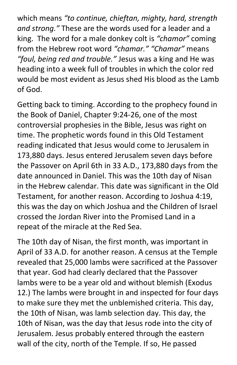which means "to continue, chieftan, mighty, hard, strength and strong." These are the words used for a leader and a king. The word for a male donkey colt is "chamor" coming from the Hebrew root word "chamar." "Chamar" means "foul, being red and trouble." Jesus was a king and He was heading into a week full of troubles in which the color red would be most evident as Jesus shed His blood as the Lamb of God.

Getting back to timing. According to the prophecy found in the Book of Daniel, Chapter 9:24-26, one of the most controversial prophesies in the Bible, Jesus was right on time. The prophetic words found in this Old Testament reading indicated that Jesus would come to Jerusalem in 173,880 days. Jesus entered Jerusalem seven days before the Passover on April 6th in 33 A.D., 173,880 days from the date announced in Daniel. This was the 10th day of Nisan in the Hebrew calendar. This date was significant in the Old Testament, for another reason. According to Joshua 4:19, this was the day on which Joshua and the Children of Israel crossed the Jordan River into the Promised Land in a repeat of the miracle at the Red Sea.

The 10th day of Nisan, the first month, was important in April of 33 A.D. for another reason. A census at the Temple revealed that 25,000 lambs were sacrificed at the Passover that year. God had clearly declared that the Passover lambs were to be a year old and without blemish (Exodus 12.) The lambs were brought in and inspected for four days to make sure they met the unblemished criteria. This day, the 10th of Nisan, was lamb selection day. This day, the 10th of Nisan, was the day that Jesus rode into the city of Jerusalem. Jesus probably entered through the eastern wall of the city, north of the Temple. If so, He passed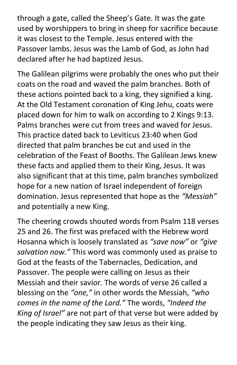through a gate, called the Sheep's Gate. It was the gate used by worshippers to bring in sheep for sacrifice because it was closest to the Temple. Jesus entered with the Passover lambs. Jesus was the Lamb of God, as John had declared after he had baptized Jesus.

The Galilean pilgrims were probably the ones who put their coats on the road and waved the palm branches. Both of these actions pointed back to a king, they signified a king. At the Old Testament coronation of King Jehu, coats were placed down for him to walk on according to 2 Kings 9:13. Palms branches were cut from trees and waved for Jesus. This practice dated back to Leviticus 23:40 when God directed that palm branches be cut and used in the celebration of the Feast of Booths. The Galilean Jews knew these facts and applied them to their King, Jesus. It was also significant that at this time, palm branches symbolized hope for a new nation of Israel independent of foreign domination. Jesus represented that hope as the "Messiah" and potentially a new King.

The cheering crowds shouted words from Psalm 118 verses 25 and 26. The first was prefaced with the Hebrew word Hosanna which is loosely translated as "save now" or "give salvation now." This word was commonly used as praise to God at the feasts of the Tabernacles, Dedication, and Passover. The people were calling on Jesus as their Messiah and their savior. The words of verse 26 called a blessing on the "one," in other words the Messiah, "who comes in the name of the Lord." The words, "Indeed the King of Israel" are not part of that verse but were added by the people indicating they saw Jesus as their king.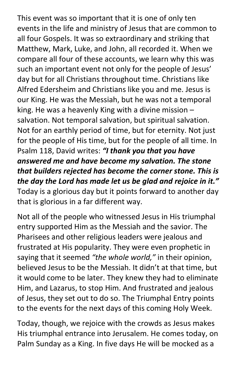This event was so important that it is one of only ten events in the life and ministry of Jesus that are common to all four Gospels. It was so extraordinary and striking that Matthew, Mark, Luke, and John, all recorded it. When we compare all four of these accounts, we learn why this was such an important event not only for the people of Jesus' day but for all Christians throughout time. Christians like Alfred Edersheim and Christians like you and me. Jesus is our King. He was the Messiah, but he was not a temporal king. He was a heavenly King with a divine mission – salvation. Not temporal salvation, but spiritual salvation. Not for an earthly period of time, but for eternity. Not just for the people of His time, but for the people of all time. In Psalm 118, David writes: "I thank you that you have answered me and have become my salvation. The stone that builders rejected has become the corner stone. This is the day the Lord has made let us be glad and rejoice in it." Today is a glorious day but it points forward to another day that is glorious in a far different way.

Not all of the people who witnessed Jesus in His triumphal entry supported Him as the Messiah and the savior. The Pharisees and other religious leaders were jealous and frustrated at His popularity. They were even prophetic in saying that it seemed "the whole world," in their opinion, believed Jesus to be the Messiah. It didn't at that time, but it would come to be later. They knew they had to eliminate Him, and Lazarus, to stop Him. And frustrated and jealous of Jesus, they set out to do so. The Triumphal Entry points to the events for the next days of this coming Holy Week.

Today, though, we rejoice with the crowds as Jesus makes His triumphal entrance into Jerusalem. He comes today, on Palm Sunday as a King. In five days He will be mocked as a